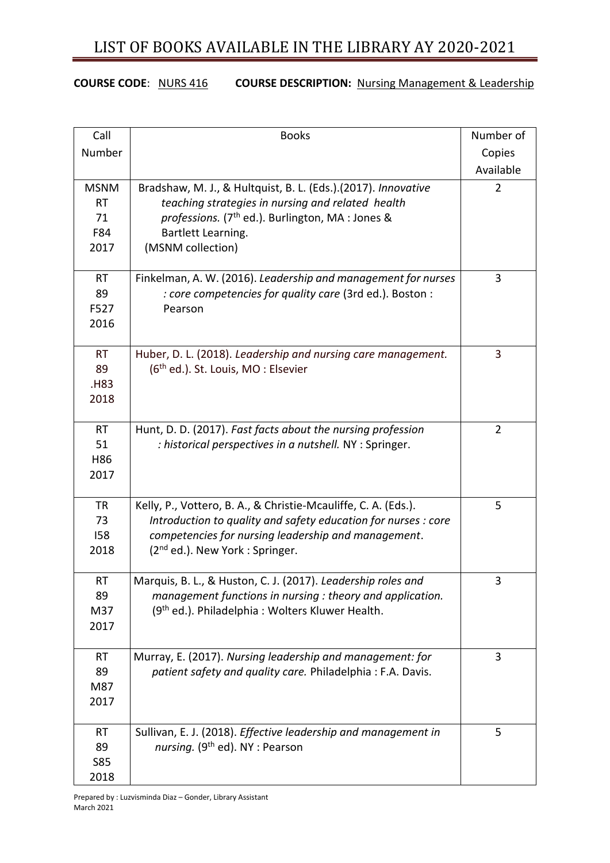### **COURSE CODE**: NURS 416 **COURSE DESCRIPTION:** Nursing Management & Leadership

| Call        | <b>Books</b>                                                   | Number of      |
|-------------|----------------------------------------------------------------|----------------|
| Number      |                                                                | Copies         |
|             |                                                                | Available      |
| <b>MSNM</b> | Bradshaw, M. J., & Hultquist, B. L. (Eds.).(2017). Innovative  | $\overline{2}$ |
| <b>RT</b>   | teaching strategies in nursing and related health              |                |
| 71          | professions. (7 <sup>th</sup> ed.). Burlington, MA : Jones &   |                |
| F84         | Bartlett Learning.                                             |                |
| 2017        | (MSNM collection)                                              |                |
|             |                                                                |                |
| <b>RT</b>   | Finkelman, A. W. (2016). Leadership and management for nurses  | 3              |
| 89          | : core competencies for quality care (3rd ed.). Boston:        |                |
| F527        | Pearson                                                        |                |
| 2016        |                                                                |                |
| <b>RT</b>   | Huber, D. L. (2018). Leadership and nursing care management.   | 3              |
| 89          | (6 <sup>th</sup> ed.). St. Louis, MO: Elsevier                 |                |
| .H83        |                                                                |                |
| 2018        |                                                                |                |
|             |                                                                |                |
| <b>RT</b>   | Hunt, D. D. (2017). Fast facts about the nursing profession    | $\overline{2}$ |
| 51          | : historical perspectives in a nutshell. NY : Springer.        |                |
| H86         |                                                                |                |
| 2017        |                                                                |                |
| <b>TR</b>   | Kelly, P., Vottero, B. A., & Christie-Mcauliffe, C. A. (Eds.). | 5              |
| 73          | Introduction to quality and safety education for nurses : core |                |
| <b>I58</b>  | competencies for nursing leadership and management.            |                |
| 2018        | $(2nd$ ed.). New York : Springer.                              |                |
|             |                                                                |                |
| RT          | Marquis, B. L., & Huston, C. J. (2017). Leadership roles and   | 3              |
| 89          | management functions in nursing : theory and application.      |                |
| M37         | (9 <sup>th</sup> ed.). Philadelphia: Wolters Kluwer Health.    |                |
| 2017        |                                                                |                |
| <b>RT</b>   | Murray, E. (2017). Nursing leadership and management: for      | 3              |
| 89          | patient safety and quality care. Philadelphia: F.A. Davis.     |                |
| M87         |                                                                |                |
| 2017        |                                                                |                |
|             |                                                                |                |
| <b>RT</b>   | Sullivan, E. J. (2018). Effective leadership and management in | 5              |
| 89          | nursing. (9 <sup>th</sup> ed). NY : Pearson                    |                |
| <b>S85</b>  |                                                                |                |
| 2018        |                                                                |                |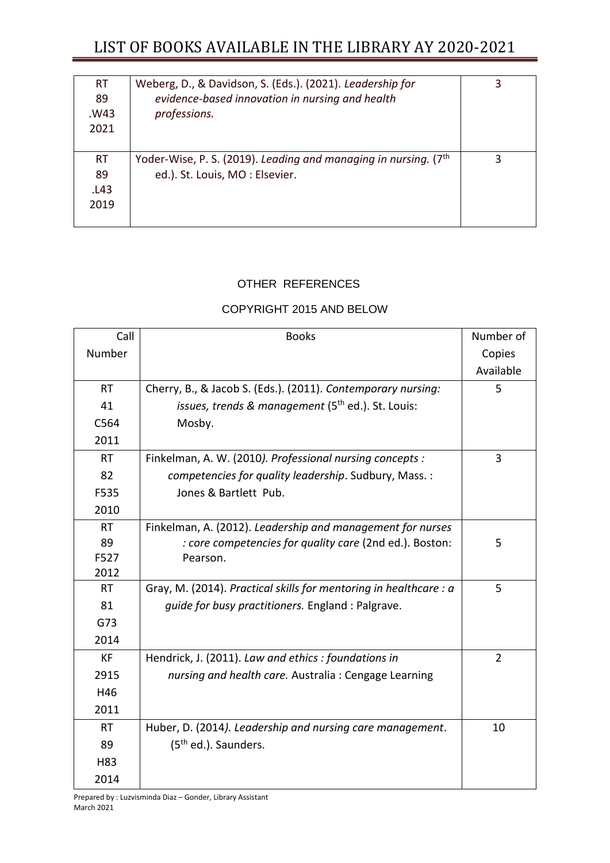| <b>RT</b><br>89<br>.W43<br>2021 | Weberg, D., & Davidson, S. (Eds.). (2021). Leadership for<br>evidence-based innovation in nursing and health<br>professions. | 3 |
|---------------------------------|------------------------------------------------------------------------------------------------------------------------------|---|
| RT.<br>89<br>.L43<br>2019       | Yoder-Wise, P. S. (2019). Leading and managing in nursing. (7th<br>ed.). St. Louis, MO: Elsevier.                            | ς |

#### OTHER REFERENCES

#### COPYRIGHT 2015 AND BELOW

| Call      | <b>Books</b>                                                     | Number of      |
|-----------|------------------------------------------------------------------|----------------|
| Number    |                                                                  | Copies         |
|           |                                                                  | Available      |
| <b>RT</b> | Cherry, B., & Jacob S. (Eds.). (2011). Contemporary nursing:     | 5              |
| 41        | issues, trends & management (5 <sup>th</sup> ed.). St. Louis:    |                |
| C564      | Mosby.                                                           |                |
| 2011      |                                                                  |                |
| <b>RT</b> | Finkelman, A. W. (2010). Professional nursing concepts :         | 3              |
| 82        | competencies for quality leadership. Sudbury, Mass. :            |                |
| F535      | Jones & Bartlett Pub.                                            |                |
| 2010      |                                                                  |                |
| <b>RT</b> | Finkelman, A. (2012). Leadership and management for nurses       |                |
| 89        | : core competencies for quality care (2nd ed.). Boston:          | 5              |
| F527      | Pearson.                                                         |                |
| 2012      |                                                                  |                |
| <b>RT</b> | Gray, M. (2014). Practical skills for mentoring in healthcare: a | 5              |
| 81        | guide for busy practitioners. England : Palgrave.                |                |
| G73       |                                                                  |                |
| 2014      |                                                                  |                |
| KF        | Hendrick, J. (2011). Law and ethics : foundations in             | $\overline{2}$ |
| 2915      | nursing and health care. Australia: Cengage Learning             |                |
| H46       |                                                                  |                |
| 2011      |                                                                  |                |
| <b>RT</b> | Huber, D. (2014). Leadership and nursing care management.        | 10             |
| 89        | (5 <sup>th</sup> ed.). Saunders.                                 |                |
| H83       |                                                                  |                |
| 2014      |                                                                  |                |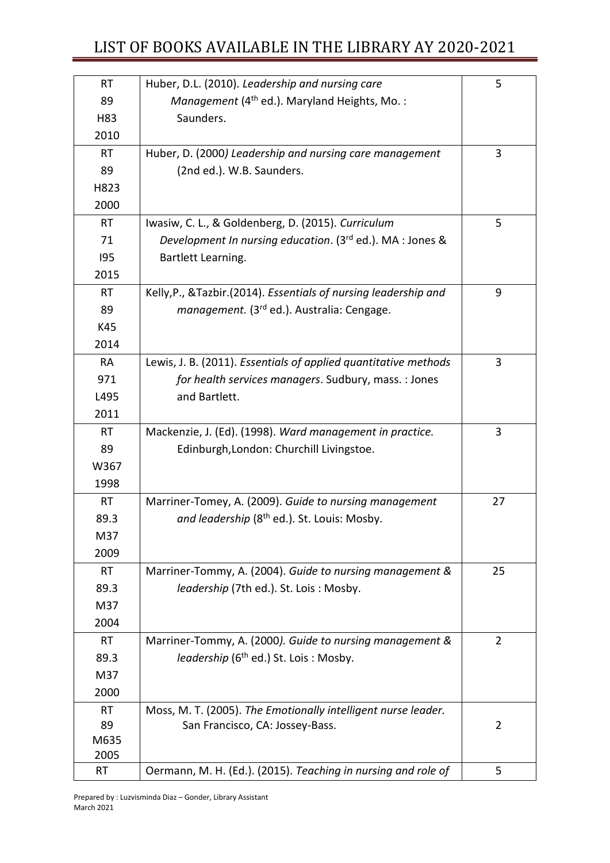| <b>RT</b> | Huber, D.L. (2010). Leadership and nursing care                   | 5              |
|-----------|-------------------------------------------------------------------|----------------|
| 89        | Management (4 <sup>th</sup> ed.). Maryland Heights, Mo.:          |                |
| H83       | Saunders.                                                         |                |
| 2010      |                                                                   |                |
| <b>RT</b> | Huber, D. (2000) Leadership and nursing care management           | 3              |
| 89        | (2nd ed.). W.B. Saunders.                                         |                |
| H823      |                                                                   |                |
| 2000      |                                                                   |                |
| <b>RT</b> | Iwasiw, C. L., & Goldenberg, D. (2015). Curriculum                | 5              |
| 71        | Development In nursing education. (3rd ed.). MA : Jones &         |                |
| 195       | Bartlett Learning.                                                |                |
| 2015      |                                                                   |                |
| <b>RT</b> | Kelly, P., & Tazbir. (2014). Essentials of nursing leadership and | 9              |
| 89        | management. (3 <sup>rd</sup> ed.). Australia: Cengage.            |                |
| K45       |                                                                   |                |
| 2014      |                                                                   |                |
| <b>RA</b> | Lewis, J. B. (2011). Essentials of applied quantitative methods   | 3              |
| 971       | for health services managers. Sudbury, mass. : Jones              |                |
| L495      | and Bartlett.                                                     |                |
| 2011      |                                                                   |                |
| <b>RT</b> | Mackenzie, J. (Ed). (1998). Ward management in practice.          | 3              |
| 89        | Edinburgh, London: Churchill Livingstoe.                          |                |
| W367      |                                                                   |                |
| 1998      |                                                                   |                |
| <b>RT</b> | Marriner-Tomey, A. (2009). Guide to nursing management            | 27             |
| 89.3      | and leadership (8 <sup>th</sup> ed.). St. Louis: Mosby.           |                |
| M37       |                                                                   |                |
| 2009      |                                                                   |                |
| <b>RT</b> | Marriner-Tommy, A. (2004). Guide to nursing management &          | 25             |
| 89.3      | leadership (7th ed.). St. Lois: Mosby.                            |                |
| M37       |                                                                   |                |
| 2004      |                                                                   |                |
| <b>RT</b> | Marriner-Tommy, A. (2000). Guide to nursing management &          | $\overline{2}$ |
| 89.3      | leadership (6 <sup>th</sup> ed.) St. Lois: Mosby.                 |                |
| M37       |                                                                   |                |
| 2000      |                                                                   |                |
| <b>RT</b> | Moss, M. T. (2005). The Emotionally intelligent nurse leader.     |                |
| 89        | San Francisco, CA: Jossey-Bass.                                   | $\overline{2}$ |
| M635      |                                                                   |                |
| 2005      |                                                                   |                |
| RT        | Oermann, M. H. (Ed.). (2015). Teaching in nursing and role of     | 5              |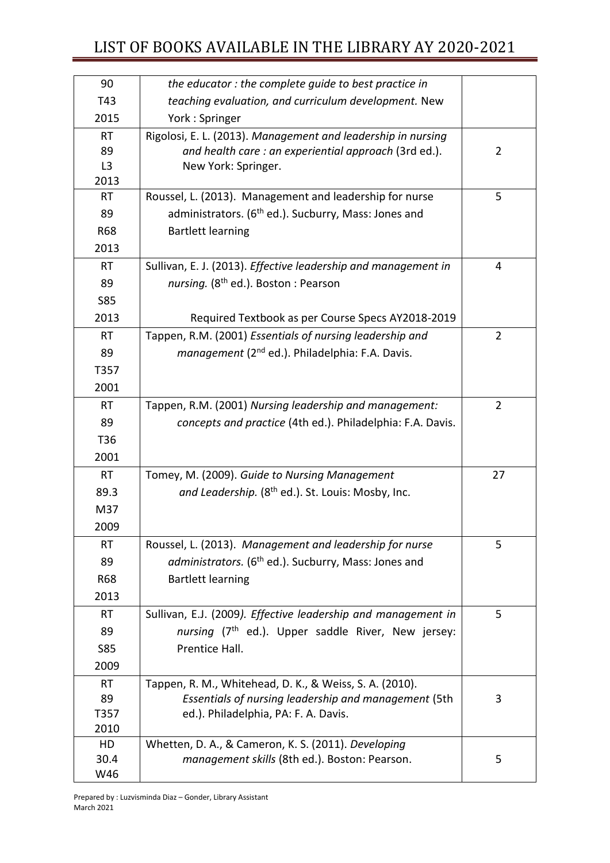| 90         | the educator: the complete guide to best practice in             |                |
|------------|------------------------------------------------------------------|----------------|
| T43        | teaching evaluation, and curriculum development. New             |                |
| 2015       | York: Springer                                                   |                |
| <b>RT</b>  | Rigolosi, E. L. (2013). Management and leadership in nursing     |                |
| 89         | and health care : an experiential approach (3rd ed.).            | $\overline{2}$ |
| L3         | New York: Springer.                                              |                |
| 2013       |                                                                  |                |
| <b>RT</b>  | Roussel, L. (2013). Management and leadership for nurse          | 5              |
| 89         | administrators. (6 <sup>th</sup> ed.). Sucburry, Mass: Jones and |                |
| R68        | <b>Bartlett learning</b>                                         |                |
| 2013       |                                                                  |                |
| <b>RT</b>  | Sullivan, E. J. (2013). Effective leadership and management in   | 4              |
| 89         | nursing. (8 <sup>th</sup> ed.). Boston: Pearson                  |                |
| <b>S85</b> |                                                                  |                |
| 2013       | Required Textbook as per Course Specs AY2018-2019                |                |
| <b>RT</b>  | Tappen, R.M. (2001) Essentials of nursing leadership and         | $\overline{2}$ |
| 89         | management (2 <sup>nd</sup> ed.). Philadelphia: F.A. Davis.      |                |
| T357       |                                                                  |                |
| 2001       |                                                                  |                |
| <b>RT</b>  | Tappen, R.M. (2001) Nursing leadership and management:           | $\overline{2}$ |
| 89         | concepts and practice (4th ed.). Philadelphia: F.A. Davis.       |                |
| T36        |                                                                  |                |
| 2001       |                                                                  |                |
| <b>RT</b>  | Tomey, M. (2009). Guide to Nursing Management                    | 27             |
| 89.3       | and Leadership. (8 <sup>th</sup> ed.). St. Louis: Mosby, Inc.    |                |
| M37        |                                                                  |                |
| 2009       |                                                                  |                |
| <b>RT</b>  | Roussel, L. (2013). Management and leadership for nurse          | 5              |
| 89         | administrators. (6 <sup>th</sup> ed.). Sucburry, Mass: Jones and |                |
| R68        | <b>Bartlett learning</b>                                         |                |
| 2013       |                                                                  |                |
| <b>RT</b>  | Sullivan, E.J. (2009). Effective leadership and management in    | 5              |
| 89         | nursing (7 <sup>th</sup> ed.). Upper saddle River, New jersey:   |                |
| S85        | Prentice Hall.                                                   |                |
| 2009       |                                                                  |                |
| <b>RT</b>  | Tappen, R. M., Whitehead, D. K., & Weiss, S. A. (2010).          |                |
| 89         | Essentials of nursing leadership and management (5th             | 3              |
| T357       | ed.). Philadelphia, PA: F. A. Davis.                             |                |
| 2010       |                                                                  |                |
| HD         | Whetten, D. A., & Cameron, K. S. (2011). Developing              |                |
| 30.4       | management skills (8th ed.). Boston: Pearson.                    | 5              |
| W46        |                                                                  |                |